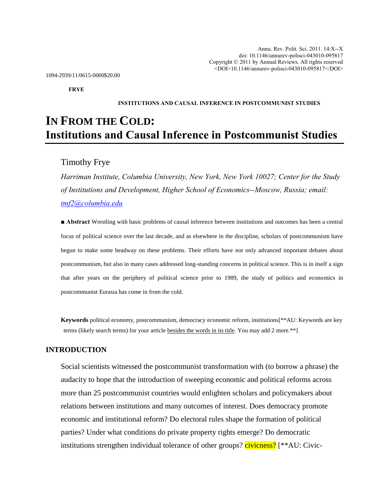1094-2939/11/0615-0000\$20.00

**FRYE**

#### **INSTITUTIONS AND CAUSAL INFERENCE IN POSTCOMMUNIST STUDIES**

# **IN FROM THE COLD: Institutions and Causal Inference in Postcommunist Studies**

## Timothy Frye

*Harriman Institute, Columbia University, New York, New York 10027; Center for the Study of Institutions and Development, Higher School of Economics--Moscow, Russia; email: [tmf2@columbia.edu](mailto:tmf2@columbia.edu)*

**■ Abstract** Wrestling with basic problems of causal inference between institutions and outcomes has been a central focus of political science over the last decade, and as elsewhere in the discipline, scholars of postcommunism have begun to make some headway on these problems. Their efforts have not only advanced important debates about postcommunism, but also in many cases addressed long-standing concerns in political science. This is in itself a sign that after years on the periphery of political science prior to 1989, the study of politics and economics in postcommunist Eurasia has come in from the cold.

**Keywords** political economy, postcommunism, democracy economic reform, institutions[\*\*AU: Keywords are key terms (likely search terms) for your article besides the words in its title. You may add 2 more.\*\*]

## **INTRODUCTION**

Social scientists witnessed the postcommunist transformation with (to borrow a phrase) the audacity to hope that the introduction of sweeping economic and political reforms across more than 25 postcommunist countries would enlighten scholars and policymakers about relations between institutions and many outcomes of interest. Does democracy promote economic and institutional reform? Do electoral rules shape the formation of political parties? Under what conditions do private property rights emerge? Do democratic institutions strengthen individual tolerance of other groups? civicness? [\*\*AU: Civic-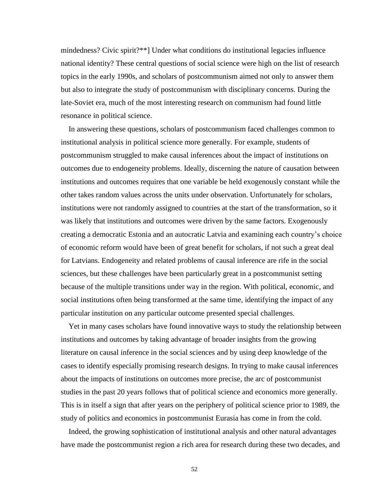mindedness? Civic spirit?\*\*] Under what conditions do institutional legacies influence national identity? These central questions of social science were high on the list of research topics in the early 1990s, and scholars of postcommunism aimed not only to answer them but also to integrate the study of postcommunism with disciplinary concerns. During the late-Soviet era, much of the most interesting research on communism had found little resonance in political science.

In answering these questions, scholars of postcommunism faced challenges common to institutional analysis in political science more generally. For example, students of postcommunism struggled to make causal inferences about the impact of institutions on outcomes due to endogeneity problems. Ideally, discerning the nature of causation between institutions and outcomes requires that one variable be held exogenously constant while the other takes random values across the units under observation. Unfortunately for scholars, institutions were not randomly assigned to countries at the start of the transformation, so it was likely that institutions and outcomes were driven by the same factors. Exogenously creating a democratic Estonia and an autocratic Latvia and examining each country"s choice of economic reform would have been of great benefit for scholars, if not such a great deal for Latvians. Endogeneity and related problems of causal inference are rife in the social sciences, but these challenges have been particularly great in a postcommunist setting because of the multiple transitions under way in the region. With political, economic, and social institutions often being transformed at the same time, identifying the impact of any particular institution on any particular outcome presented special challenges.

Yet in many cases scholars have found innovative ways to study the relationship between institutions and outcomes by taking advantage of broader insights from the growing literature on causal inference in the social sciences and by using deep knowledge of the cases to identify especially promising research designs. In trying to make causal inferences about the impacts of institutions on outcomes more precise, the arc of postcommunist studies in the past 20 years follows that of political science and economics more generally. This is in itself a sign that after years on the periphery of political science prior to 1989, the study of politics and economics in postcommunist Eurasia has come in from the cold.

Indeed, the growing sophistication of institutional analysis and other natural advantages have made the postcommunist region a rich area for research during these two decades, and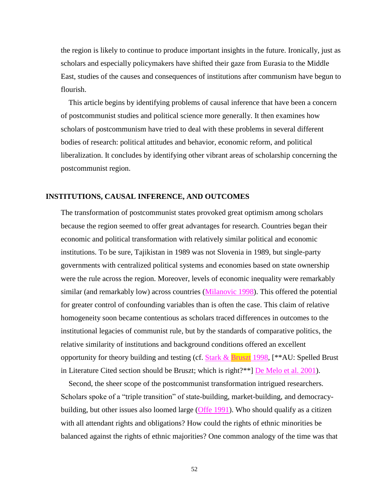the region is likely to continue to produce important insights in the future. Ironically, just as scholars and especially policymakers have shifted their gaze from Eurasia to the Middle East, studies of the causes and consequences of institutions after communism have begun to flourish.

This article begins by identifying problems of causal inference that have been a concern of postcommunist studies and political science more generally. It then examines how scholars of postcommunism have tried to deal with these problems in several different bodies of research: political attitudes and behavior, economic reform, and political liberalization. It concludes by identifying other vibrant areas of scholarship concerning the postcommunist region.

#### **INSTITUTIONS, CAUSAL INFERENCE, AND OUTCOMES**

The transformation of postcommunist states provoked great optimism among scholars because the region seemed to offer great advantages for research. Countries began their economic and political transformation with relatively similar political and economic institutions. To be sure, Tajikistan in 1989 was not Slovenia in 1989, but single-party governments with centralized political systems and economies based on state ownership were the rule across the region. Moreover, levels of economic inequality were remarkably similar (and remarkably low) across countries [\(Milanovic 1998\)](#page-29-0). This offered the potential for greater control of confounding variables than is often the case. This claim of relative homogeneity soon became contentious as scholars traced differences in outcomes to the institutional legacies of communist rule, but by the standards of comparative politics, the relative similarity of institutions and background conditions offered an excellent opportunity for theory building and testing (cf. Stark  $&$  Bruszt 1998, [\*\*AU: Spelled Brust in Literature Cited section should be Bruszt; which is right?\*\*] [De Melo et al. 2001\)](#page-24-0).

Second, the sheer scope of the postcommunist transformation intrigued researchers. Scholars spoke of a "triple transition" of state-building, market-building, and democracy-building, but other issues also loomed large [\(Offe 1991\)](#page-29-1). Who should qualify as a citizen with all attendant rights and obligations? How could the rights of ethnic minorities be balanced against the rights of ethnic majorities? One common analogy of the time was that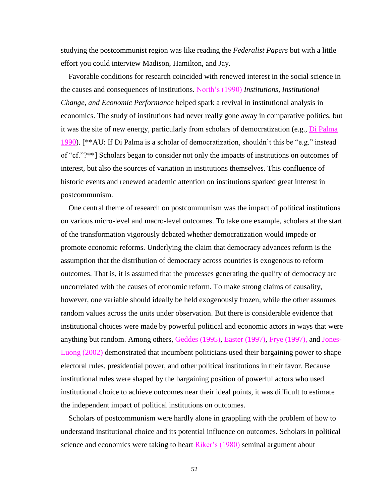studying the postcommunist region was like reading the *Federalist Papers* but with a little effort you could interview Madison, Hamilton, and Jay.

Favorable conditions for research coincided with renewed interest in the social science in the causes and consequences of institutions. [North"s \(1990\)](#page-29-2) *Institutions, Institutional Change, and Economic Performance* helped spark a revival in institutional analysis in economics. The study of institutions had never really gone away in comparative politics, but it was the site of new energy, particularly from scholars of democratization (e.g., [Di Palma](#page-24-1)  [1990\)](#page-24-1). [\*\*AU: If Di Palma is a scholar of democratization, shouldn"t this be "e.g." instead of "cf."?\*\*] Scholars began to consider not only the impacts of institutions on outcomes of interest, but also the sources of variation in institutions themselves. This confluence of historic events and renewed academic attention on institutions sparked great interest in postcommunism.

One central theme of research on postcommunism was the impact of political institutions on various micro-level and macro-level outcomes. To take one example, scholars at the start of the transformation vigorously debated whether democratization would impede or promote economic reforms. Underlying the claim that democracy advances reform is the assumption that the distribution of democracy across countries is exogenous to reform outcomes. That is, it is assumed that the processes generating the quality of democracy are uncorrelated with the causes of economic reform. To make strong claims of causality, however, one variable should ideally be held exogenously frozen, while the other assumes random values across the units under observation. But there is considerable evidence that institutional choices were made by powerful political and economic actors in ways that were anything but random. Among others, [Geddes \(1995\),](#page-26-0) [Easter \(1997\),](#page-25-0) [Frye \(1997\),](#page-26-1) and [Jones-](#page-28-0)[Luong \(2002\)](#page-28-0) demonstrated that incumbent politicians used their bargaining power to shape electoral rules, presidential power, and other political institutions in their favor. Because institutional rules were shaped by the bargaining position of powerful actors who used institutional choice to achieve outcomes near their ideal points, it was difficult to estimate the independent impact of political institutions on outcomes.

Scholars of postcommunism were hardly alone in grappling with the problem of how to understand institutional choice and its potential influence on outcomes. Scholars in political science and economics were taking to heart [Riker"s \(1980\)](#page-30-1) seminal argument about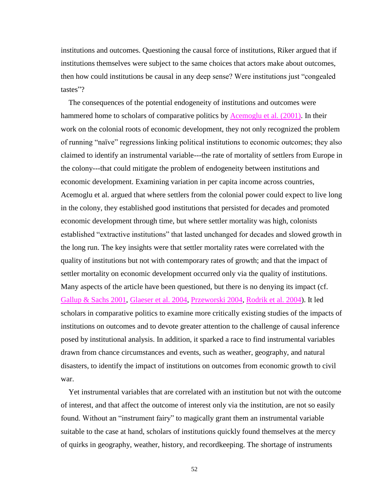institutions and outcomes. Questioning the causal force of institutions, Riker argued that if institutions themselves were subject to the same choices that actors make about outcomes, then how could institutions be causal in any deep sense? Were institutions just "congealed tastes"?

The consequences of the potential endogeneity of institutions and outcomes were hammered home to scholars of comparative politics by [Acemoglu et al. \(2001\).](#page-23-0) In their work on the colonial roots of economic development, they not only recognized the problem of running "naïve" regressions linking political institutions to economic outcomes; they also claimed to identify an instrumental variable---the rate of mortality of settlers from Europe in the colony---that could mitigate the problem of endogeneity between institutions and economic development. Examining variation in per capita income across countries, Acemoglu et al. argued that where settlers from the colonial power could expect to live long in the colony, they established good institutions that persisted for decades and promoted economic development through time, but where settler mortality was high, colonists established "extractive institutions" that lasted unchanged for decades and slowed growth in the long run. The key insights were that settler mortality rates were correlated with the quality of institutions but not with contemporary rates of growth; and that the impact of settler mortality on economic development occurred only via the quality of institutions. Many aspects of the article have been questioned, but there is no denying its impact (cf. Gallup & [Sachs 2001,](#page-26-2) [Glaeser et al. 2004,](#page-26-3) [Przeworski 2004,](#page-30-2) [Rodrik et al. 2004\)](#page-30-3). It led scholars in comparative politics to examine more critically existing studies of the impacts of institutions on outcomes and to devote greater attention to the challenge of causal inference posed by institutional analysis. In addition, it sparked a race to find instrumental variables drawn from chance circumstances and events, such as weather, geography, and natural disasters, to identify the impact of institutions on outcomes from economic growth to civil war.

Yet instrumental variables that are correlated with an institution but not with the outcome of interest, and that affect the outcome of interest only via the institution, are not so easily found. Without an "instrument fairy" to magically grant them an instrumental variable suitable to the case at hand, scholars of institutions quickly found themselves at the mercy of quirks in geography, weather, history, and recordkeeping. The shortage of instruments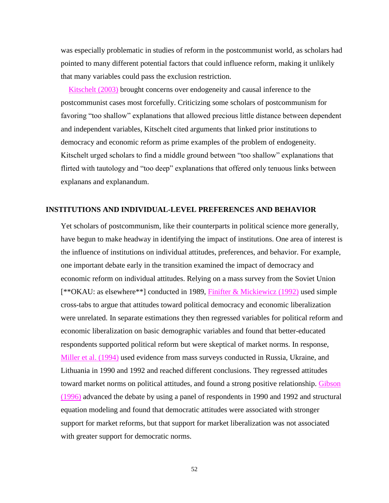was especially problematic in studies of reform in the postcommunist world, as scholars had pointed to many different potential factors that could influence reform, making it unlikely that many variables could pass the exclusion restriction.

[Kitschelt \(2003\)](#page-28-1) brought concerns over endogeneity and causal inference to the postcommunist cases most forcefully. Criticizing some scholars of postcommunism for favoring "too shallow" explanations that allowed precious little distance between dependent and independent variables, Kitschelt cited arguments that linked prior institutions to democracy and economic reform as prime examples of the problem of endogeneity. Kitschelt urged scholars to find a middle ground between "too shallow" explanations that flirted with tautology and "too deep" explanations that offered only tenuous links between explanans and explanandum.

## **INSTITUTIONS AND INDIVIDUAL-LEVEL PREFERENCES AND BEHAVIOR**

Yet scholars of postcommunism, like their counterparts in political science more generally, have begun to make headway in identifying the impact of institutions. One area of interest is the influence of institutions on individual attitudes, preferences, and behavior. For example, one important debate early in the transition examined the impact of democracy and economic reform on individual attitudes. Relying on a mass survey from the Soviet Union [\*\*OKAU: as elsewhere\*\*] conducted in 1989, Finifter & [Mickiewicz \(1992\)](#page-25-1) used simple cross-tabs to argue that attitudes toward political democracy and economic liberalization were unrelated. In separate estimations they then regressed variables for political reform and economic liberalization on basic demographic variables and found that better-educated respondents supported political reform but were skeptical of market norms. In response, [Miller et al. \(1994\)](#page-29-3) used evidence from mass surveys conducted in Russia, Ukraine, and Lithuania in 1990 and 1992 and reached different conclusions. They regressed attitudes toward market norms on political attitudes, and found a strong positive relationship. Gibson [\(1996\)](#page-26-4) advanced the debate by using a panel of respondents in 1990 and 1992 and structural equation modeling and found that democratic attitudes were associated with stronger support for market reforms, but that support for market liberalization was not associated with greater support for democratic norms.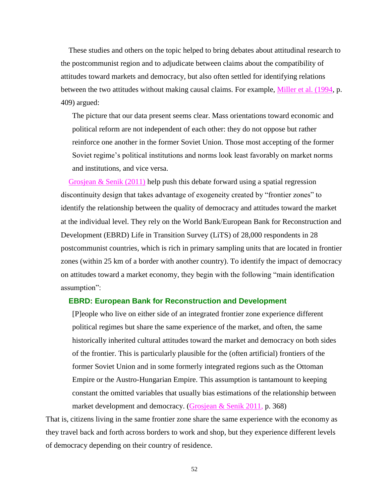These studies and others on the topic helped to bring debates about attitudinal research to the postcommunist region and to adjudicate between claims about the compatibility of attitudes toward markets and democracy, but also often settled for identifying relations between the two attitudes without making causal claims. For example, [Miller et al. \(1994,](#page-29-3) p. 409) argued:

The picture that our data present seems clear. Mass orientations toward economic and political reform are not independent of each other: they do not oppose but rather reinforce one another in the former Soviet Union. Those most accepting of the former Soviet regime's political institutions and norms look least favorably on market norms and institutions, and vice versa.

Grosjean & [Senik \(2011\)](#page-27-0) help push this debate forward using a spatial regression discontinuity design that takes advantage of exogeneity created by "frontier zones" to identify the relationship between the quality of democracy and attitudes toward the market at the individual level. They rely on the World Bank/European Bank for Reconstruction and Development (EBRD) Life in Transition Survey (LiTS) of 28,000 respondents in 28 postcommunist countries, which is rich in primary sampling units that are located in frontier zones (within 25 km of a border with another country). To identify the impact of democracy on attitudes toward a market economy, they begin with the following "main identification assumption":

## **EBRD: European Bank for Reconstruction and Development**

[P]eople who live on either side of an integrated frontier zone experience different political regimes but share the same experience of the market, and often, the same historically inherited cultural attitudes toward the market and democracy on both sides of the frontier. This is particularly plausible for the (often artificial) frontiers of the former Soviet Union and in some formerly integrated regions such as the Ottoman Empire or the Austro-Hungarian Empire. This assumption is tantamount to keeping constant the omitted variables that usually bias estimations of the relationship between market development and democracy. [\(Grosjean & Senik 2011,](#page-27-0) p. 368)

That is, citizens living in the same frontier zone share the same experience with the economy as they travel back and forth across borders to work and shop, but they experience different levels of democracy depending on their country of residence.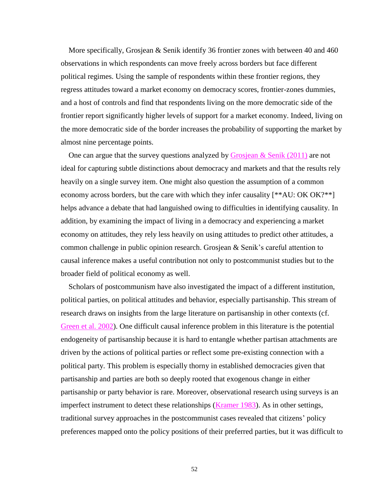More specifically, Grosjean & Senik identify 36 frontier zones with between 40 and 460 observations in which respondents can move freely across borders but face different political regimes. Using the sample of respondents within these frontier regions, they regress attitudes toward a market economy on democracy scores, frontier-zones dummies, and a host of controls and find that respondents living on the more democratic side of the frontier report significantly higher levels of support for a market economy. Indeed, living on the more democratic side of the border increases the probability of supporting the market by almost nine percentage points.

One can argue that the survey questions analyzed by Grosjean & [Senik \(2011\)](#page-27-0) are not ideal for capturing subtle distinctions about democracy and markets and that the results rely heavily on a single survey item. One might also question the assumption of a common economy across borders, but the care with which they infer causality [\*\*AU: OK OK?\*\*] helps advance a debate that had languished owing to difficulties in identifying causality. In addition, by examining the impact of living in a democracy and experiencing a market economy on attitudes, they rely less heavily on using attitudes to predict other attitudes, a common challenge in public opinion research. Grosjean & Senik"s careful attention to causal inference makes a useful contribution not only to postcommunist studies but to the broader field of political economy as well.

Scholars of postcommunism have also investigated the impact of a different institution, political parties, on political attitudes and behavior, especially partisanship. This stream of research draws on insights from the large literature on partisanship in other contexts (cf. [Green et al. 2002\)](#page-26-5). One difficult causal inference problem in this literature is the potential endogeneity of partisanship because it is hard to entangle whether partisan attachments are driven by the actions of political parties or reflect some pre-existing connection with a political party. This problem is especially thorny in established democracies given that partisanship and parties are both so deeply rooted that exogenous change in either partisanship or party behavior is rare. Moreover, observational research using surveys is an imperfect instrument to detect these relationships  $(Kramer 1983)$ . As in other settings, traditional survey approaches in the postcommunist cases revealed that citizens" policy preferences mapped onto the policy positions of their preferred parties, but it was difficult to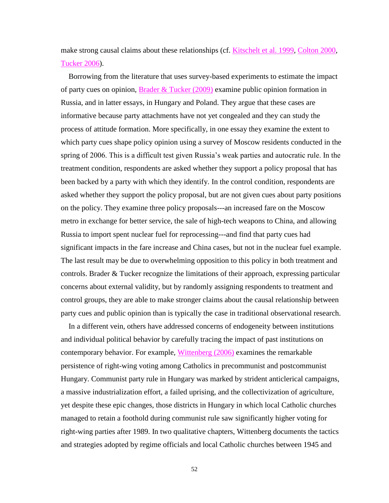make strong causal claims about these relationships (cf. [Kitschelt et al. 1999,](#page-28-3) [Colton 2000,](#page-24-2) [Tucker 2006\)](#page-31-0).

Borrowing from the literature that uses survey-based experiments to estimate the impact of party cues on opinion, Brader & [Tucker \(2009\)](#page-24-3) examine public opinion formation in Russia, and in latter essays, in Hungary and Poland. They argue that these cases are informative because party attachments have not yet congealed and they can study the process of attitude formation. More specifically, in one essay they examine the extent to which party cues shape policy opinion using a survey of Moscow residents conducted in the spring of 2006. This is a difficult test given Russia"s weak parties and autocratic rule. In the treatment condition, respondents are asked whether they support a policy proposal that has been backed by a party with which they identify. In the control condition, respondents are asked whether they support the policy proposal, but are not given cues about party positions on the policy. They examine three policy proposals---an increased fare on the Moscow metro in exchange for better service, the sale of high-tech weapons to China, and allowing Russia to import spent nuclear fuel for reprocessing---and find that party cues had significant impacts in the fare increase and China cases, but not in the nuclear fuel example. The last result may be due to overwhelming opposition to this policy in both treatment and controls. Brader & Tucker recognize the limitations of their approach, expressing particular concerns about external validity, but by randomly assigning respondents to treatment and control groups, they are able to make stronger claims about the causal relationship between party cues and public opinion than is typically the case in traditional observational research.

In a different vein, others have addressed concerns of endogeneity between institutions and individual political behavior by carefully tracing the impact of past institutions on contemporary behavior. For example, [Wittenberg \(2006\)](#page-31-1) examines the remarkable persistence of right-wing voting among Catholics in precommunist and postcommunist Hungary. Communist party rule in Hungary was marked by strident anticlerical campaigns, a massive industrialization effort, a failed uprising, and the collectivization of agriculture, yet despite these epic changes, those districts in Hungary in which local Catholic churches managed to retain a foothold during communist rule saw significantly higher voting for right-wing parties after 1989. In two qualitative chapters, Wittenberg documents the tactics and strategies adopted by regime officials and local Catholic churches between 1945 and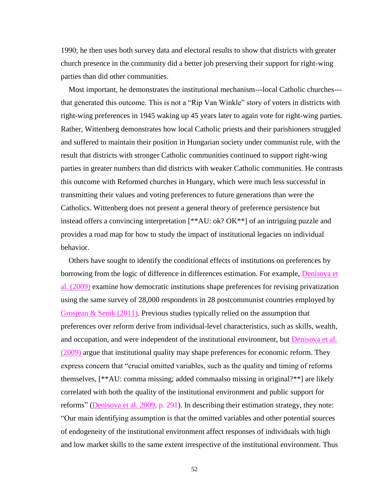1990; he then uses both survey data and electoral results to show that districts with greater church presence in the community did a better job preserving their support for right-wing parties than did other communities.

Most important, he demonstrates the institutional mechanism---local Catholic churches-- that generated this outcome. This is not a "Rip Van Winkle" story of voters in districts with right-wing preferences in 1945 waking up 45 years later to again vote for right-wing parties. Rather, Wittenberg demonstrates how local Catholic priests and their parishioners struggled and suffered to maintain their position in Hungarian society under communist rule, with the result that districts with stronger Catholic communities continued to support right-wing parties in greater numbers than did districts with weaker Catholic communities. He contrasts this outcome with Reformed churches in Hungary, which were much less successful in transmitting their values and voting preferences to future generations than were the Catholics. Wittenberg does not present a general theory of preference persistence but instead offers a convincing interpretation [\*\*AU: ok? OK\*\*] of an intriguing puzzle and provides a road map for how to study the impact of institutional legacies on individual behavior.

Others have sought to identify the conditional effects of institutions on preferences by borrowing from the logic of difference in differences estimation. For example, [Denisova et](#page-24-4)  [al. \(2009\)](#page-24-4) examine how democratic institutions shape preferences for revising privatization using the same survey of 28,000 respondents in 28 postcommunist countries employed by Grosjean & [Senik \(2011\).](#page-27-0) Previous studies typically relied on the assumption that preferences over reform derive from individual-level characteristics, such as skills, wealth, and occupation, and were independent of the institutional environment, but [Denisova et al.](#page-24-4)  [\(2009\)](#page-24-4) argue that institutional quality may shape preferences for economic reform. They express concern that "crucial omitted variables, such as the quality and timing of reforms themselves, [\*\*AU: comma missing; added commaalso missing in original?\*\*] are likely correlated with both the quality of the institutional environment and public support for reforms" [\(Denisova et al. 2009,](#page-24-4) p. 291). In describing their estimation strategy, they note: "Our main identifying assumption is that the omitted variables and other potential sources of endogeneity of the institutional environment affect responses of individuals with high and low market skills to the same extent irrespective of the institutional environment. Thus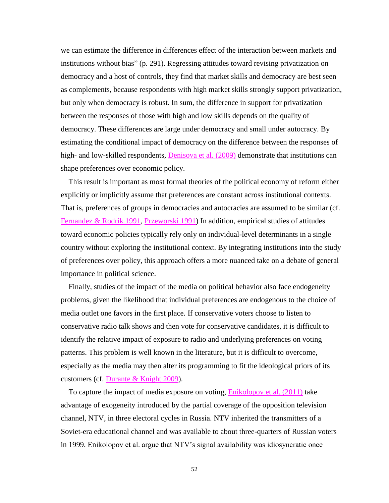we can estimate the difference in differences effect of the interaction between markets and institutions without bias" (p. 291). Regressing attitudes toward revising privatization on democracy and a host of controls, they find that market skills and democracy are best seen as complements, because respondents with high market skills strongly support privatization, but only when democracy is robust. In sum, the difference in support for privatization between the responses of those with high and low skills depends on the quality of democracy. These differences are large under democracy and small under autocracy. By estimating the conditional impact of democracy on the difference between the responses of high- and low-skilled respondents, [Denisova et al. \(2009\)](#page-24-4) demonstrate that institutions can shape preferences over economic policy.

This result is important as most formal theories of the political economy of reform either explicitly or implicitly assume that preferences are constant across institutional contexts. That is, preferences of groups in democracies and autocracies are assumed to be similar (cf. Fernandez & [Rodrik 1991,](#page-25-2) [Przeworski 1991\)](#page-29-4) In addition, empirical studies of attitudes toward economic policies typically rely only on individual-level determinants in a single country without exploring the institutional context. By integrating institutions into the study of preferences over policy, this approach offers a more nuanced take on a debate of general importance in political science.

Finally, studies of the impact of the media on political behavior also face endogeneity problems, given the likelihood that individual preferences are endogenous to the choice of media outlet one favors in the first place. If conservative voters choose to listen to conservative radio talk shows and then vote for conservative candidates, it is difficult to identify the relative impact of exposure to radio and underlying preferences on voting patterns. This problem is well known in the literature, but it is difficult to overcome, especially as the media may then alter its programming to fit the ideological priors of its customers (cf. Durante & [Knight 2009\)](#page-25-3).

To capture the impact of media exposure on voting, [Enikolopov et al. \(2011\)](#page-25-4) take advantage of exogeneity introduced by the partial coverage of the opposition television channel, NTV, in three electoral cycles in Russia. NTV inherited the transmitters of a Soviet-era educational channel and was available to about three-quarters of Russian voters in 1999. Enikolopov et al. argue that NTV"s signal availability was idiosyncratic once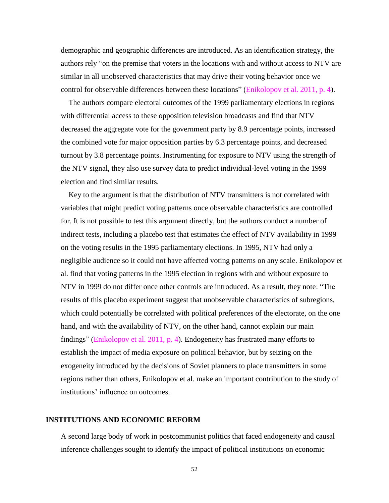demographic and geographic differences are introduced. As an identification strategy, the authors rely "on the premise that voters in the locations with and without access to NTV are similar in all unobserved characteristics that may drive their voting behavior once we control for observable differences between these locations" (Enikolopov et al. 2011, p. 4).

The authors compare electoral outcomes of the 1999 parliamentary elections in regions with differential access to these opposition television broadcasts and find that NTV decreased the aggregate vote for the government party by 8.9 percentage points, increased the combined vote for major opposition parties by 6.3 percentage points, and decreased turnout by 3.8 percentage points. Instrumenting for exposure to NTV using the strength of the NTV signal, they also use survey data to predict individual-level voting in the 1999 election and find similar results.

Key to the argument is that the distribution of NTV transmitters is not correlated with variables that might predict voting patterns once observable characteristics are controlled for. It is not possible to test this argument directly, but the authors conduct a number of indirect tests, including a placebo test that estimates the effect of NTV availability in 1999 on the voting results in the 1995 parliamentary elections. In 1995, NTV had only a negligible audience so it could not have affected voting patterns on any scale. Enikolopov et al. find that voting patterns in the 1995 election in regions with and without exposure to NTV in 1999 do not differ once other controls are introduced. As a result, they note: "The results of this placebo experiment suggest that unobservable characteristics of subregions, which could potentially be correlated with political preferences of the electorate, on the one hand, and with the availability of NTV, on the other hand, cannot explain our main findings" (Enikolopov et al. 2011, p. 4). Endogeneity has frustrated many efforts to establish the impact of media exposure on political behavior, but by seizing on the exogeneity introduced by the decisions of Soviet planners to place transmitters in some regions rather than others, Enikolopov et al. make an important contribution to the study of institutions' influence on outcomes.

## **INSTITUTIONS AND ECONOMIC REFORM**

A second large body of work in postcommunist politics that faced endogeneity and causal inference challenges sought to identify the impact of political institutions on economic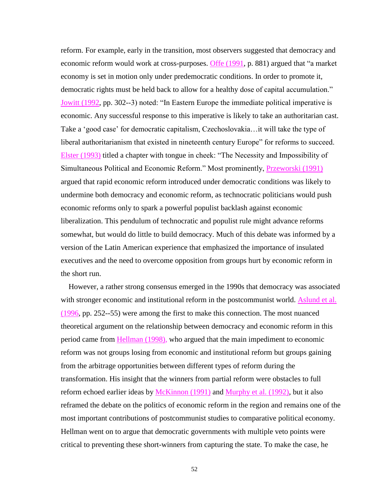reform. For example, early in the transition, most observers suggested that democracy and economic reform would work at cross-purposes. [Offe \(1991,](#page-29-1) p. 881) argued that "a market economy is set in motion only under predemocratic conditions. In order to promote it, democratic rights must be held back to allow for a healthy dose of capital accumulation." [Jowitt \(1992,](#page-28-4) pp. 302--3) noted: "In Eastern Europe the immediate political imperative is economic. Any successful response to this imperative is likely to take an authoritarian cast. Take a 'good case' for democratic capitalism, Czechoslovakia... it will take the type of liberal authoritarianism that existed in nineteenth century Europe" for reforms to succeed. [Elster \(1993\)](#page-25-5) titled a chapter with tongue in cheek: "The Necessity and Impossibility of Simultaneous Political and Economic Reform." Most prominently, [Przeworski \(1991\)](#page-29-4) argued that rapid economic reform introduced under democratic conditions was likely to undermine both democracy and economic reform, as technocratic politicians would push economic reforms only to spark a powerful populist backlash against economic liberalization. This pendulum of technocratic and populist rule might advance reforms somewhat, but would do little to build democracy. Much of this debate was informed by a version of the Latin American experience that emphasized the importance of insulated executives and the need to overcome opposition from groups hurt by economic reform in the short run.

However, a rather strong consensus emerged in the 1990s that democracy was associated with stronger economic and institutional reform in the postcommunist world. Aslund et al. [\(1996,](#page-23-1) pp. 252--55) were among the first to make this connection. The most nuanced theoretical argument on the relationship between democracy and economic reform in this period came from [Hellman \(1998\),](#page-27-1) who argued that the main impediment to economic reform was not groups losing from economic and institutional reform but groups gaining from the arbitrage opportunities between different types of reform during the transformation. His insight that the winners from partial reform were obstacles to full reform echoed earlier ideas by [McKinnon \(1991\)](#page-29-5) and [Murphy et al. \(1992\),](#page-29-6) but it also reframed the debate on the politics of economic reform in the region and remains one of the most important contributions of postcommunist studies to comparative political economy. Hellman went on to argue that democratic governments with multiple veto points were critical to preventing these short-winners from capturing the state. To make the case, he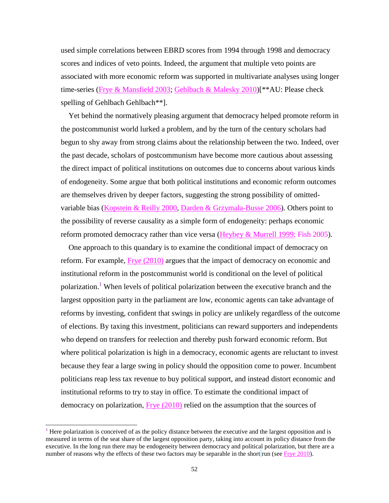used simple correlations between EBRD scores from 1994 through 1998 and democracy scores and indices of veto points. Indeed, the argument that multiple veto points are associated with more economic reform was supported in multivariate analyses using longer time-series (Frye & [Mansfield 2003;](#page-26-6) Gehlbach & [Malesky 2010\)](#page-26-7)[\*\*AU: Please check spelling of Gehlbach Gehlbach\*\*].

Yet behind the normatively pleasing argument that democracy helped promote reform in the postcommunist world lurked a problem, and by the turn of the century scholars had begun to shy away from strong claims about the relationship between the two. Indeed, over the past decade, scholars of postcommunism have become more cautious about assessing the direct impact of political institutions on outcomes due to concerns about various kinds of endogeneity. Some argue that both political institutions and economic reform outcomes are themselves driven by deeper factors, suggesting the strong possibility of omitted-variable bias (Kopstein & [Reilly 2000,](#page-28-1) Darden & [Grzymala-Busse 2006\)](#page-24-5). Others point to the possibility of reverse causality as a simple form of endogeneity: perhaps economic reform promoted democracy rather than vice versa (Heybey  $&$  [Murrell 1999;](#page-27-2) Fish 2005).

One approach to this quandary is to examine the conditional impact of democracy on reform. For example, [Frye \(2010\)](#page-26-8) argues that the impact of democracy on economic and institutional reform in the postcommunist world is conditional on the level of political polarization.<sup>1</sup> When levels of political polarization between the executive branch and the largest opposition party in the parliament are low, economic agents can take advantage of reforms by investing, confident that swings in policy are unlikely regardless of the outcome of elections. By taxing this investment, politicians can reward supporters and independents who depend on transfers for reelection and thereby push forward economic reform. But where political polarization is high in a democracy, economic agents are reluctant to invest because they fear a large swing in policy should the opposition come to power. Incumbent politicians reap less tax revenue to buy political support, and instead distort economic and institutional reforms to try to stay in office. To estimate the conditional impact of democracy on polarization, [Frye \(2010\)](#page-26-8) relied on the assumption that the sources of

 $\overline{a}$ 

<sup>&</sup>lt;sup>1</sup> Here polarization is conceived of as the policy distance between the executive and the largest opposition and is measured in terms of the seat share of the largest opposition party, taking into account its policy distance from the executive. In the long run there may be endogeneity between democracy and political polarization, but there are a number of reasons why the effects of these two factors may be separable in the short run (see [Frye 2010\)](#page-26-8).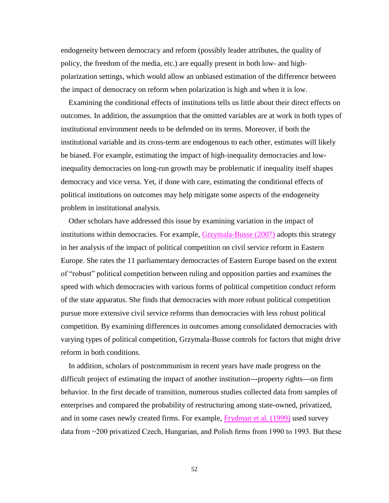endogeneity between democracy and reform (possibly leader attributes, the quality of policy, the freedom of the media, etc.) are equally present in both low- and highpolarization settings, which would allow an unbiased estimation of the difference between the impact of democracy on reform when polarization is high and when it is low.

Examining the conditional effects of institutions tells us little about their direct effects on outcomes. In addition, the assumption that the omitted variables are at work in both types of institutional environment needs to be defended on its terms. Moreover, if both the institutional variable and its cross-term are endogenous to each other, estimates will likely be biased. For example, estimating the impact of high-inequality democracies and lowinequality democracies on long-run growth may be problematic if inequality itself shapes democracy and vice versa. Yet, if done with care, estimating the conditional effects of political institutions on outcomes may help mitigate some aspects of the endogeneity problem in institutional analysis.

Other scholars have addressed this issue by examining variation in the impact of institutions within democracies. For example, [Grzymala-Busse \(2007\)](#page-27-3) adopts this strategy in her analysis of the impact of political competition on civil service reform in Eastern Europe. She rates the 11 parliamentary democracies of Eastern Europe based on the extent of "robust" political competition between ruling and opposition parties and examines the speed with which democracies with various forms of political competition conduct reform of the state apparatus. She finds that democracies with more robust political competition pursue more extensive civil service reforms than democracies with less robust political competition. By examining differences in outcomes among consolidated democracies with varying types of political competition, Grzymala-Busse controls for factors that might drive reform in both conditions.

In addition, scholars of postcommunism in recent years have made progress on the difficult project of estimating the impact of another institution---property rights---on firm behavior. In the first decade of transition, numerous studies collected data from samples of enterprises and compared the probability of restructuring among state-owned, privatized, and in some cases newly created firms. For example, [Frydman et al. \(1999\)](#page-25-6) used survey data from ~200 privatized Czech, Hungarian, and Polish firms from 1990 to 1993. But these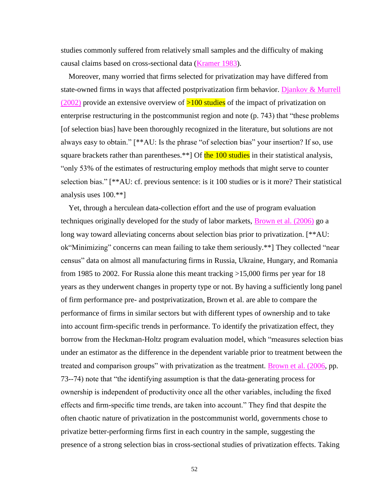studies commonly suffered from relatively small samples and the difficulty of making causal claims based on cross-sectional data [\(Kramer 1983\)](#page-28-2).

Moreover, many worried that firms selected for privatization may have differed from state-owned firms in ways that affected postprivatization firm behavior. [Djankov &](#page-24-6) Murrell  $(2002)$  provide an extensive overview of  $>100$  studies of the impact of privatization on enterprise restructuring in the postcommunist region and note (p. 743) that "these problems [of selection bias] have been thoroughly recognized in the literature, but solutions are not always easy to obtain." [\*\*AU: Is the phrase "of selection bias" your insertion? If so, use square brackets rather than parentheses.\*\*] Of the 100 studies in their statistical analysis, "only 53% of the estimates of restructuring employ methods that might serve to counter selection bias." [\*\*AU: cf. previous sentence: is it 100 studies or is it more? Their statistical analysis uses 100.\*\*]

Yet, through a herculean data-collection effort and the use of program evaluation techniques originally developed for the study of labor markets, [Brown et al. \(2006\)](#page-24-7) go a long way toward alleviating concerns about selection bias prior to privatization. [\*\*AU: ok"Minimizing" concerns can mean failing to take them seriously.\*\*] They collected "near census" data on almost all manufacturing firms in Russia, Ukraine, Hungary, and Romania from 1985 to 2002. For Russia alone this meant tracking >15,000 firms per year for 18 years as they underwent changes in property type or not. By having a sufficiently long panel of firm performance pre- and postprivatization, Brown et al. are able to compare the performance of firms in similar sectors but with different types of ownership and to take into account firm-specific trends in performance. To identify the privatization effect, they borrow from the Heckman-Holtz program evaluation model, which "measures selection bias under an estimator as the difference in the dependent variable prior to treatment between the treated and comparison groups" with privatization as the treatment. [Brown et al. \(2006,](#page-24-7) pp. 73--74) note that "the identifying assumption is that the data-generating process for ownership is independent of productivity once all the other variables, including the fixed effects and firm-specific time trends, are taken into account." They find that despite the often chaotic nature of privatization in the postcommunist world, governments chose to privatize better-performing firms first in each country in the sample, suggesting the presence of a strong selection bias in cross-sectional studies of privatization effects. Taking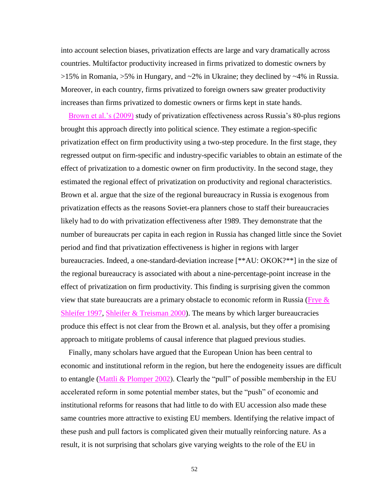into account selection biases, privatization effects are large and vary dramatically across countries. Multifactor productivity increased in firms privatized to domestic owners by  $>15\%$  in Romania,  $>5\%$  in Hungary, and  $\sim$ 2% in Ukraine; they declined by  $\sim$ 4% in Russia. Moreover, in each country, firms privatized to foreign owners saw greater productivity increases than firms privatized to domestic owners or firms kept in state hands.

Brown et al.'s (2009) study of privatization effectiveness across Russia's 80-plus regions brought this approach directly into political science. They estimate a region-specific privatization effect on firm productivity using a two-step procedure. In the first stage, they regressed output on firm-specific and industry-specific variables to obtain an estimate of the effect of privatization to a domestic owner on firm productivity. In the second stage, they estimated the regional effect of privatization on productivity and regional characteristics. Brown et al. argue that the size of the regional bureaucracy in Russia is exogenous from privatization effects as the reasons Soviet-era planners chose to staff their bureaucracies likely had to do with privatization effectiveness after 1989. They demonstrate that the number of bureaucrats per capita in each region in Russia has changed little since the Soviet period and find that privatization effectiveness is higher in regions with larger bureaucracies. Indeed, a one-standard-deviation increase [\*\*AU: OKOK?\*\*] in the size of the regional bureaucracy is associated with about a nine-percentage-point increase in the effect of privatization on firm productivity. This finding is surprising given the common view that state bureaucrats are a primary obstacle to economic reform in Russia ( $\frac{Frye & \& }{Frye & \& }$ [Shleifer 1997,](#page-26-9) Shleifer & [Treisman 2000\)](#page-30-4). The means by which larger bureaucracies produce this effect is not clear from the Brown et al. analysis, but they offer a promising approach to mitigate problems of causal inference that plagued previous studies.

Finally, many scholars have argued that the European Union has been central to economic and institutional reform in the region, but here the endogeneity issues are difficult to entangle (Mattli & [Plomper 2002\)](#page-29-7). Clearly the "pull" of possible membership in the EU accelerated reform in some potential member states, but the "push" of economic and institutional reforms for reasons that had little to do with EU accession also made these same countries more attractive to existing EU members. Identifying the relative impact of these push and pull factors is complicated given their mutually reinforcing nature. As a result, it is not surprising that scholars give varying weights to the role of the EU in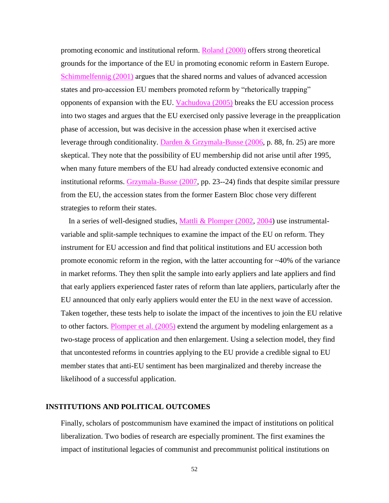promoting economic and institutional reform. [Roland \(2000\)](#page-30-5) offers strong theoretical grounds for the importance of the EU in promoting economic reform in Eastern Europe. [Schimmelfennig \(2001\)](#page-30-6) argues that the shared norms and values of advanced accession states and pro-accession EU members promoted reform by "rhetorically trapping" opponents of expansion with the EU. [Vachudova \(2005\)](#page-31-2) breaks the EU accession process into two stages and argues that the EU exercised only passive leverage in the preapplication phase of accession, but was decisive in the accession phase when it exercised active leverage through conditionality. Darden & [Grzymala-Busse \(2006,](#page-24-5) p. 88, fn. 25) are more skeptical. They note that the possibility of EU membership did not arise until after 1995, when many future members of the EU had already conducted extensive economic and institutional reforms. [Grzymala-Busse \(2007,](#page-27-3) pp. 23--24) finds that despite similar pressure from the EU, the accession states from the former Eastern Bloc chose very different strategies to reform their states.

In a series of well-designed studies, Mattli & [Plomper \(2002,](#page-29-7) [2004\)](#page-29-8) use instrumentalvariable and split-sample techniques to examine the impact of the EU on reform. They instrument for EU accession and find that political institutions and EU accession both promote economic reform in the region, with the latter accounting for ~40% of the variance in market reforms. They then split the sample into early appliers and late appliers and find that early appliers experienced faster rates of reform than late appliers, particularly after the EU announced that only early appliers would enter the EU in the next wave of accession. Taken together, these tests help to isolate the impact of the incentives to join the EU relative to other factors. [Plomper et al. \(2005\)](#page-29-9) extend the argument by modeling enlargement as a two-stage process of application and then enlargement. Using a selection model, they find that uncontested reforms in countries applying to the EU provide a credible signal to EU member states that anti-EU sentiment has been marginalized and thereby increase the likelihood of a successful application.

## **INSTITUTIONS AND POLITICAL OUTCOMES**

Finally, scholars of postcommunism have examined the impact of institutions on political liberalization. Two bodies of research are especially prominent. The first examines the impact of institutional legacies of communist and precommunist political institutions on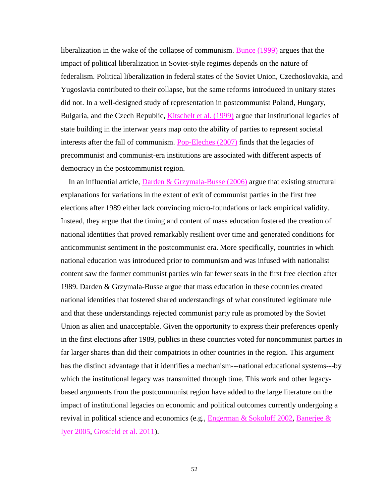liberalization in the wake of the collapse of communism. [Bunce \(1999\)](#page-24-8) argues that the impact of political liberalization in Soviet-style regimes depends on the nature of federalism. Political liberalization in federal states of the Soviet Union, Czechoslovakia, and Yugoslavia contributed to their collapse, but the same reforms introduced in unitary states did not. In a well-designed study of representation in postcommunist Poland, Hungary, Bulgaria, and the Czech Republic, [Kitschelt et al. \(1999\)](#page-28-3) argue that institutional legacies of state building in the interwar years map onto the ability of parties to represent societal interests after the fall of communism. [Pop-Eleches \(2007\)](#page-29-10) finds that the legacies of precommunist and communist-era institutions are associated with different aspects of democracy in the postcommunist region.

In an influential article, Darden & [Grzymala-Busse \(2006\)](#page-24-5) argue that existing structural explanations for variations in the extent of exit of communist parties in the first free elections after 1989 either lack convincing micro-foundations or lack empirical validity. Instead, they argue that the timing and content of mass education fostered the creation of national identities that proved remarkably resilient over time and generated conditions for anticommunist sentiment in the postcommunist era. More specifically, countries in which national education was introduced prior to communism and was infused with nationalist content saw the former communist parties win far fewer seats in the first free election after 1989. Darden & Grzymala-Busse argue that mass education in these countries created national identities that fostered shared understandings of what constituted legitimate rule and that these understandings rejected communist party rule as promoted by the Soviet Union as alien and unacceptable. Given the opportunity to express their preferences openly in the first elections after 1989, publics in these countries voted for noncommunist parties in far larger shares than did their compatriots in other countries in the region. This argument has the distinct advantage that it identifies a mechanism---national educational systems---by which the institutional legacy was transmitted through time. This work and other legacybased arguments from the postcommunist region have added to the large literature on the impact of institutional legacies on economic and political outcomes currently undergoing a revival in political science and economics (e.g., Engerman & [Sokoloff 2002,](#page-25-7) [Banerjee &](#page-23-2) [Iyer 2005,](#page-23-2) [Grosfeld et al. 2011\)](#page-27-4).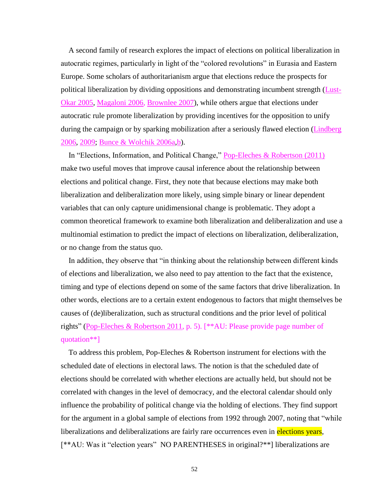A second family of research explores the impact of elections on political liberalization in autocratic regimes, particularly in light of the "colored revolutions" in Eurasia and Eastern Europe. Some scholars of authoritarianism argue that elections reduce the prospects for political liberalization by dividing oppositions and demonstrating incumbent strength [\(Lust-](#page-28-5)[Okar 2005,](#page-28-5) [Magaloni 2006,](#page-28-6) [Brownlee 2007\)](#page-24-9), while others argue that elections under autocratic rule promote liberalization by providing incentives for the opposition to unify during the campaign or by sparking mobilization after a seriously flawed election (Lindberg) [2006,](#page-28-7) [2009;](#page-28-8) Bunce & [Wolchik 2006a](#page-24-10)[,b\)](#page-24-11).

In "Elections, Information, and Political Change," Pop-Eleches & [Robertson \(2011\)](#page-29-11) make two useful moves that improve causal inference about the relationship between elections and political change. First, they note that because elections may make both liberalization and deliberalization more likely, using simple binary or linear dependent variables that can only capture unidimensional change is problematic. They adopt a common theoretical framework to examine both liberalization and deliberalization and use a multinomial estimation to predict the impact of elections on liberalization, deliberalization, or no change from the status quo.

In addition, they observe that "in thinking about the relationship between different kinds of elections and liberalization, we also need to pay attention to the fact that the existence, timing and type of elections depend on some of the same factors that drive liberalization. In other words, elections are to a certain extent endogenous to factors that might themselves be causes of (de)liberalization, such as structural conditions and the prior level of political rights" [\(Pop-Eleches & Robertson 2011,](#page-29-11) p. 5). [\*\*AU: Please provide page number of quotation\*\*]

To address this problem, Pop-Eleches & Robertson instrument for elections with the scheduled date of elections in electoral laws. The notion is that the scheduled date of elections should be correlated with whether elections are actually held, but should not be correlated with changes in the level of democracy, and the electoral calendar should only influence the probability of political change via the holding of elections. They find support for the argument in a global sample of elections from 1992 through 2007, noting that "while liberalizations and deliberalizations are fairly rare occurrences even in elections years, [\*\*AU: Was it "election years" NO PARENTHESES in original?\*\*] liberalizations are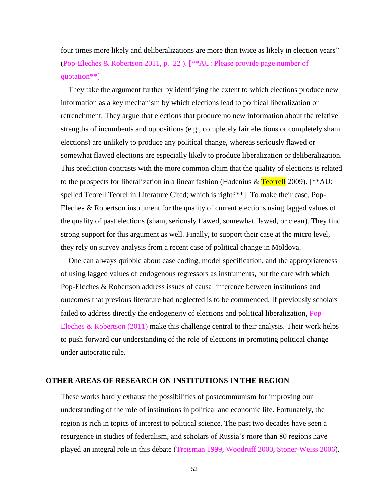four times more likely and deliberalizations are more than twice as likely in election years" [\(Pop-Eleches & Robertson 2011,](#page-29-11) p. 22 ). [\*\*AU: Please provide page number of quotation\*\*]

They take the argument further by identifying the extent to which elections produce new information as a key mechanism by which elections lead to political liberalization or retrenchment. They argue that elections that produce no new information about the relative strengths of incumbents and oppositions (e.g., completely fair elections or completely sham elections) are unlikely to produce any political change, whereas seriously flawed or somewhat flawed elections are especially likely to produce liberalization or deliberalization. This prediction contrasts with the more common claim that the quality of elections is related to the prospects for liberalization in a linear fashion (Hadenius & Teorrell 2009). [\*\*AU: spelled Teorell Teorellin Literature Cited; which is right?\*\*] To make their case, Pop-Eleches & Robertson instrument for the quality of current elections using lagged values of the quality of past elections (sham, seriously flawed, somewhat flawed, or clean). They find strong support for this argument as well. Finally, to support their case at the micro level, they rely on survey analysis from a recent case of political change in Moldova.

One can always quibble about case coding, model specification, and the appropriateness of using lagged values of endogenous regressors as instruments, but the care with which Pop-Eleches & Robertson address issues of causal inference between institutions and outcomes that previous literature had neglected is to be commended. If previously scholars failed to address directly the endogeneity of elections and political liberalization, [Pop-](#page-29-11)Eleches & Robertson  $(2011)$  make this challenge central to their analysis. Their work helps to push forward our understanding of the role of elections in promoting political change under autocratic rule.

#### **OTHER AREAS OF RESEARCH ON INSTITUTIONS IN THE REGION**

These works hardly exhaust the possibilities of postcommunism for improving our understanding of the role of institutions in political and economic life. Fortunately, the region is rich in topics of interest to political science. The past two decades have seen a resurgence in studies of federalism, and scholars of Russia's more than 80 regions have played an integral role in this debate [\(Treisman 1999,](#page-31-0) [Woodruff 2000,](#page-31-3) [Stoner-Weiss 2006\)](#page-30-7).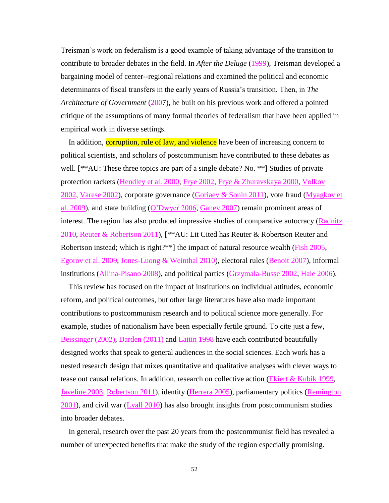Treisman"s work on federalism is a good example of taking advantage of the transition to contribute to broader debates in the field. In *After the Deluge* [\(1999\)](#page-31-0), Treisman developed a bargaining model of center--regional relations and examined the political and economic determinants of fiscal transfers in the early years of Russia"s transition. Then, in *The Architecture of Government* (2007), he built on his previous work and offered a pointed critique of the assumptions of many formal theories of federalism that have been applied in empirical work in diverse settings.

In addition, corruption, rule of law, and violence have been of increasing concern to political scientists, and scholars of postcommunism have contributed to these debates as well. [\*\*AU: These three topics are part of a single debate? No. \*\*] Studies of private protection rackets [\(Hendley et al. 2000,](#page-27-5) [Frye 2002,](#page-26-10) Frye & [Zhuravskaya 2000,](#page-26-11) [Volkov](#page-31-4)  [2002,](#page-31-4) [Varese 2002\)](#page-31-5), corporate governance (Goriaev & [Sonin 2011\)](#page-26-12), vote fraud [\(Myagkov et](#page-29-12)  [al. 2009\)](#page-29-12), and state building [\(O"Dwyer 2006,](#page-29-13) [Ganev 2007\)](#page-26-13) remain prominent areas of interest. The region has also produced impressive studies of comparative autocracy [\(Radnitz](#page-30-8)  [2010,](#page-30-8) Reuter & [Robertson 2011\)](#page-30-9), [\*\*AU: Lit Cited has Reuter & Robertson Reuter and Robertson instead; which is right?\*\*] the impact of natural resource wealth [\(Fish 2005,](#page-25-1) [Egorov et al. 2009,](#page-25-8) [Jones-Luong &](#page-28-9) Weinthal 2010), electoral rules [\(Benoit 2007\)](#page-23-3), informal institutions [\(Allina-Pisano 2008\)](#page-23-4), and political parties [\(Grzymala-Busse 2002,](#page-27-6) [Hale 2006\)](#page-27-7).

This review has focused on the impact of institutions on individual attitudes, economic reform, and political outcomes, but other large literatures have also made important contributions to postcommunism research and to political science more generally. For example, studies of nationalism have been especially fertile ground. To cite just a few, [Beissinger \(2002\),](#page-23-5) [Darden \(2011\)](#page-24-0) and [Laitin 1998](#page-28-10) have each contributed beautifully designed works that speak to general audiences in the social sciences. Each work has a nested research design that mixes quantitative and qualitative analyses with clever ways to tease out causal relations. In addition, research on collective action (Ekiert & [Kubik 1999,](#page-25-9) [Javeline 2003,](#page-27-8) [Robertson 2011\)](#page-30-10), identity [\(Herrera 2005\)](#page-27-9), parliamentary politics [\(Remington](#page-30-11)   $2001$ ), and civil war [\(Lyall 2010\)](#page-28-11) has also brought insights from postcommunism studies into broader debates.

In general, research over the past 20 years from the postcommunist field has revealed a number of unexpected benefits that make the study of the region especially promising.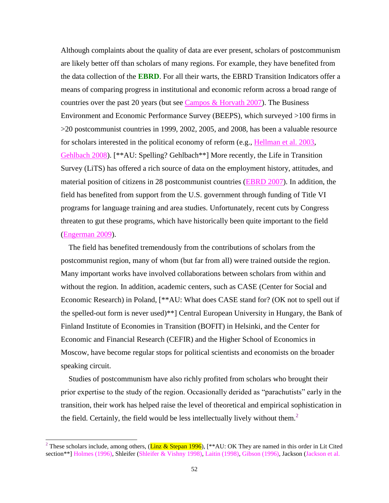Although complaints about the quality of data are ever present, scholars of postcommunism are likely better off than scholars of many regions. For example, they have benefited from the data collection of the **EBRD**. For all their warts, the EBRD Transition Indicators offer a means of comparing progress in institutional and economic reform across a broad range of countries over the past 20 years (but see Campos  $& Horvath\ 2007$ ). The Business Environment and Economic Performance Survey (BEEPS), which surveyed >100 firms in >20 postcommunist countries in 1999, 2002, 2005, and 2008, has been a valuable resource for scholars interested in the political economy of reform (e.g., [Hellman et al. 2003,](#page-27-10) [Gehlbach 2008\)](#page-26-14). [\*\*AU: Spelling? Gehlbach\*\*] More recently, the Life in Transition Survey (LiTS) has offered a rich source of data on the employment history, attitudes, and material position of citizens in 28 postcommunist countries [\(EBRD 2007\)](#page-25-10). In addition, the field has benefited from support from the U.S. government through funding of Title VI programs for language training and area studies. Unfortunately, recent cuts by Congress threaten to gut these programs, which have historically been quite important to the field [\(Engerman 2009\)](#page-25-11).

The field has benefited tremendously from the contributions of scholars from the postcommunist region, many of whom (but far from all) were trained outside the region. Many important works have involved collaborations between scholars from within and without the region. In addition, academic centers, such as CASE (Center for Social and Economic Research) in Poland, [\*\*AU: What does CASE stand for? (OK not to spell out if the spelled-out form is never used)\*\*] Central European University in Hungary, the Bank of Finland Institute of Economies in Transition (BOFIT) in Helsinki, and the Center for Economic and Financial Research (CEFIR) and the Higher School of Economics in Moscow, have become regular stops for political scientists and economists on the broader speaking circuit.

Studies of postcommunism have also richly profited from scholars who brought their prior expertise to the study of the region. Occasionally derided as "parachutists" early in the transition, their work has helped raise the level of theoretical and empirical sophistication in the field. Certainly, the field would be less intellectually lively without them.<sup>2</sup>

 $\overline{a}$ 

<sup>&</sup>lt;sup>2</sup> These scholars include, among others, (Linz & Stepan 1996), [\*\*AU: OK They are named in this order in Lit Cited section\*\*] [Holmes \(1996\),](#page-27-11) Shleifer (Shleifer & [Vishny 1998\),](#page-30-12) [Laitin \(1998\),](#page-28-10) [Gibson \(1996\),](#page-26-4) Jackson [\(Jackson et al.](#page-27-12)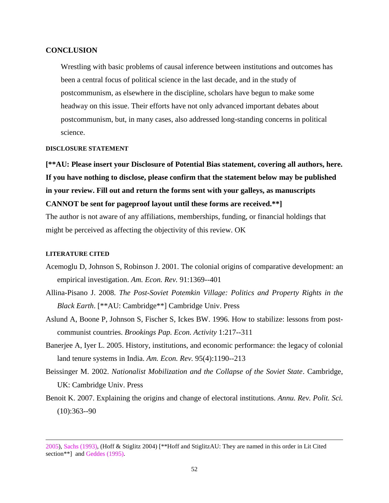#### **CONCLUSION**

Wrestling with basic problems of causal inference between institutions and outcomes has been a central focus of political science in the last decade, and in the study of postcommunism, as elsewhere in the discipline, scholars have begun to make some headway on this issue. Their efforts have not only advanced important debates about postcommunism, but, in many cases, also addressed long-standing concerns in political science.

#### **DISCLOSURE STATEMENT**

**[\*\*AU: Please insert your Disclosure of Potential Bias statement, covering all authors, here. If you have nothing to disclose, please confirm that the statement below may be published in your review. Fill out and return the forms sent with your galleys, as manuscripts CANNOT be sent for pageproof layout until these forms are received.\*\*]**

The author is not aware of any affiliations, memberships, funding, or financial holdings that might be perceived as affecting the objectivity of this review. OK

#### **LITERATURE CITED**

 $\overline{a}$ 

- <span id="page-23-0"></span>Acemoglu D, Johnson S, Robinson J. 2001. The colonial origins of comparative development: an empirical investigation. *Am. Econ. Rev.* 91:1369--401
- <span id="page-23-4"></span>Allina-Pisano J. 2008. *The Post-Soviet Potemkin Village: Politics and Property Rights in the Black Earth*. [\*\*AU: Cambridge\*\*] Cambridge Univ. Press
- <span id="page-23-1"></span>Aslund A, Boone P, Johnson S, Fischer S, Ickes BW. 1996. How to stabilize: lessons from postcommunist countries. *Brookings Pap. Econ. Activity* 1:217--311
- <span id="page-23-2"></span>Banerjee A, Iyer L. 2005. History, institutions, and economic performance: the legacy of colonial land tenure systems in India. *Am. Econ. Rev.* 95(4):1190--213
- <span id="page-23-5"></span>Beissinger M. 2002. *Nationalist Mobilization and the Collapse of the Soviet State*. Cambridge, UK: Cambridge Univ. Press
- <span id="page-23-3"></span>Benoit K. 2007. Explaining the origins and change of electoral institutions. *Annu. Rev. Polit. Sci.*  $(10):363-90$

<sup>2005),</sup> [Sachs \(1993\),](#page-30-13) (Hoff & Stiglitz 2004) [\*\*Hoff and StiglitzAU: They are named in this order in Lit Cited section\*\*] and [Geddes \(1995\).](#page-26-0)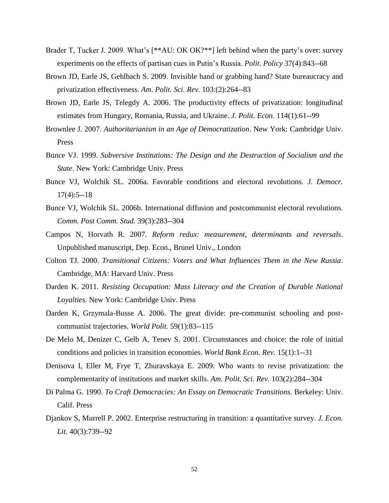- <span id="page-24-3"></span>Brader T, Tucker J. 2009. What's [\*\*AU: OK OK?\*\*] left behind when the party's over: survey experiments on the effects of partisan cues in Putin"s Russia. *Polit. Policy* 37(4):843--68
- <span id="page-24-7"></span>Brown JD, Earle JS, Gehlbach S. 2009. Invisible hand or grabbing hand? State bureaucracy and privatization effectiveness. *Am. Polit. Sci. Rev.* 103:(2):264--83
- <span id="page-24-9"></span>Brown JD, Earle JS, Telegdy A. 2006. The productivity effects of privatization: longitudinal estimates from Hungary, Romania, Russia, and Ukraine. *J. Polit. Econ.* 114(1):61--99
- Brownlee J. 2007. *Authoritarianism in an Age of Democratization*. New York: Cambridge Univ. Press
- <span id="page-24-8"></span>Bunce VJ. 1999. *Subversive Institutions: The Design and the Destruction of Socialism and the State*. New York: Cambridge Univ. Press
- <span id="page-24-10"></span>Bunce VJ, Wolchik SL. 2006a. Favorable conditions and electoral revolutions. *J. Democr.*  $17(4):5-18$
- <span id="page-24-11"></span>Bunce VJ, Wolchik SL. 2006b. International diffusion and postcommunist electoral revolutions. *Comm. Post Comm. Stud.* 39(3):283--304
- <span id="page-24-12"></span>Campos N, Horvath R. 2007. *Reform redux: measurement, determinants and reversals*. Unpublished manuscript, Dep. Econ., Brunel Univ., London
- <span id="page-24-2"></span>Colton TJ. 2000. *Transitional Citizens: Voters and What Influences Them in the New Russia*. Cambridge, MA: Harvard Univ. Press
- <span id="page-24-5"></span>Darden K. 2011. *Resisting Occupation: Mass Literacy and the Creation of Durable National Loyalties*. New York: Cambridge Univ. Press
- Darden K, Grzymala-Busse A. 2006. The great divide: pre-communist schooling and postcommunist trajectories. *World Polit.* 59(1):83--115
- <span id="page-24-0"></span>De Melo M, Denizer C, Gelb A, Tenev S. 2001. Circumstances and choice: the role of initial conditions and policies in transition economies. *World Bank Econ. Rev.* 15(1):1--31
- <span id="page-24-4"></span>Denisova I, Eller M, Frye T, Zhuravskaya E. 2009. Who wants to revise privatization: the complementarity of institutions and market skills. *Am. Polit. Sci. Rev.* 103(2):284--304
- <span id="page-24-1"></span>Di Palma G. 1990. *To Craft Democracies: An Essay on Democratic Transitions*. Berkeley: Univ. Calif. Press
- <span id="page-24-6"></span>Djankov S, Murrell P. 2002. Enterprise restructuring in transition: a quantitative survey. *J. Econ. Lit.* 40(3):739--92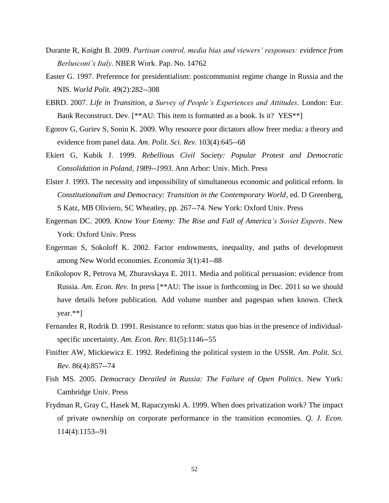- <span id="page-25-3"></span>Durante R, Knight B. 2009. *Partisan control, media bias and viewers' responses: evidence from Berlusconi's Italy*. NBER Work. Pap. No. 14762
- <span id="page-25-0"></span>Easter G. 1997. Preference for presidentialism: postcommunist regime change in Russia and the NIS. *World Polit.* 49(2):282--308
- <span id="page-25-10"></span>EBRD. 2007. *Life in Transition, a Survey of People's Experiences and Attitudes*. London: Eur. Bank Reconstruct. Dev. [\*\*AU: This item is formatted as a book. Is it? YES\*\*]
- <span id="page-25-8"></span>Egorov G, Guriev S, Sonin K. 2009. Why resource poor dictators allow freer media: a theory and evidence from panel data. *Am. Polit. Sci. Rev.* 103(4):645--68
- <span id="page-25-9"></span>Ekiert G, Kubik J. 1999. *Rebellious Civil Society: Popular Protest and Democratic Consolidation in Poland, 1989--1993*. Ann Arbor: Univ. Mich. Press
- <span id="page-25-5"></span>Elster J. 1993. The necessity and impossibility of simultaneous economic and political reform. In *Constitutionalism and Democracy: Transition in the Contemporary World*, ed. D Greenberg, S Katz, MB Oliviero, SC Wheatley, pp. 267--74. New York: Oxford Univ. Press
- <span id="page-25-11"></span>Engerman DC. 2009. *Know Your Enemy: The Rise and Fall of America's Soviet Experts*. New York: Oxford Univ. Press
- <span id="page-25-7"></span>Engerman S, Sokoloff K. 2002. Factor endowments, inequality, and paths of development among New World economies. *Economia* 3(1):41--88
- <span id="page-25-4"></span>Enikolopov R, Petrova M, Zhuravskaya E. 2011. Media and political persuasion: evidence from Russia. *Am. Econ. Rev.* In press [\*\*AU: The issue is forthcoming in Dec. 2011 so we should have details before publication. Add volume number and pagespan when known. Check year.\*\*]
- <span id="page-25-2"></span>Fernandez R, Rodrik D. 1991. Resistance to reform: status quo bias in the presence of individualspecific uncertainty. *Am. Econ. Rev.* 81(5):1146--55
- <span id="page-25-1"></span>Finifter AW, Mickiewicz E. 1992. Redefining the political system in the USSR. *Am. Polit. Sci. Rev.* 86(4):857--74
- <span id="page-25-6"></span>Fish MS. 2005. *Democracy Derailed in Russia: The Failure of Open Politics*. New York: Cambridge Univ. Press
- Frydman R, Gray C, Hasek M, Rapaczynski A. 1999. When does privatization work? The impact of private ownership on corporate performance in the transition economies. *Q. J. Econ.* 114(4):1153--91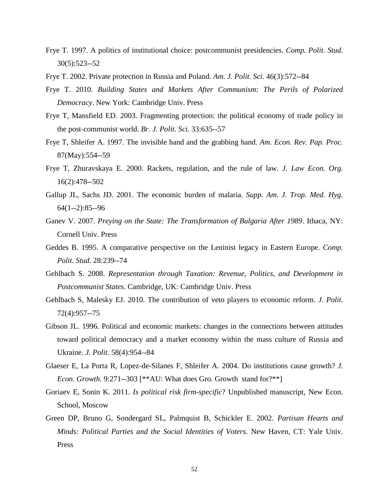- <span id="page-26-1"></span>Frye T. 1997. A politics of institutional choice: postcommunist presidencies. *Comp. Polit. Stud.* 30(5):523--52
- <span id="page-26-10"></span>Frye T. 2002. Private protection in Russia and Poland. *Am. J. Polit. Sci.* 46(3):572--84
- <span id="page-26-8"></span>Frye T. 2010. *Building States and Markets After Communism: The Perils of Polarized Democracy*. New York: Cambridge Univ. Press
- <span id="page-26-6"></span>Frye T, Mansfield ED. 2003. Fragmenting protection: the political economy of trade policy in the post-communist world. *Br. J. Polit. Sci.* 33:635--57
- <span id="page-26-9"></span>Frye T, Shleifer A. 1997. The invisible hand and the grabbing hand. *Am. Econ. Rev. Pap. Proc.* 87(May):554--59
- <span id="page-26-11"></span>Frye T, Zhuravskaya E. 2000. Rackets, regulation, and the rule of law. *J. Law Econ. Org.* 16(2):478--502
- <span id="page-26-2"></span>Gallup JL, Sachs JD. 2001. The economic burden of malaria. *Supp. Am. J. Trop. Med. Hyg.* 64(1--2):85--96
- <span id="page-26-13"></span>Ganev V. 2007. *Preying on the State: The Transformation of Bulgaria After 1989*. Ithaca, NY: Cornell Univ. Press
- <span id="page-26-0"></span>Geddes B. 1995. A comparative perspective on the Leninist legacy in Eastern Europe. *Comp. Polit. Stud.* 28:239--74
- <span id="page-26-14"></span>Gehlbach S. 2008. *Representation through Taxation: Revenue, Politics, and Development in Postcommunist States*. Cambridge, UK: Cambridge Univ. Press
- <span id="page-26-7"></span>Gehlbach S, Malesky EJ. 2010. The contribution of veto players to economic reform. *J. Polit.* 72(4):957--75
- <span id="page-26-4"></span>Gibson JL. 1996. Political and economic markets: changes in the connections between attitudes toward political democracy and a market economy within the mass culture of Russia and Ukraine. *J. Polit.* 58(4):954--84
- <span id="page-26-3"></span>Glaeser E, La Porta R, Lopez-de-Silanes F, Shleifer A. 2004. Do institutions cause growth? *J. Econ. Growth.* 9:271--303 [\*\*AU: What does Gro. Growth stand for?\*\*]
- <span id="page-26-12"></span>Goriaev E, Sonin K. 2011. *Is political risk firm-specific*? Unpublished manuscript, New Econ. School, Moscow
- <span id="page-26-5"></span>Green DP, Bruno G, Sondergard SL, Palmquist B, Schickler E. 2002. *Partisan Hearts and Minds: Political Parties and the Social Identities of Voters*. New Haven, CT: Yale Univ. Press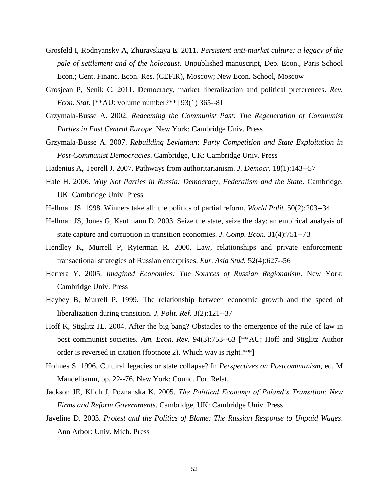- <span id="page-27-4"></span>Grosfeld I, Rodnyansky A, Zhuravskaya E. 2011. *Persistent anti-market culture: a legacy of the pale of settlement and of the holocaust*. Unpublished manuscript, Dep. Econ., Paris School Econ.; Cent. Financ. Econ. Res. (CEFIR), Moscow; New Econ. School, Moscow
- <span id="page-27-0"></span>Grosjean P, Senik C. 2011. Democracy, market liberalization and political preferences. *Rev. Econ. Stat.* [\*\*AU: volume number?\*\*] 93(1) 365--81
- <span id="page-27-6"></span>Grzymala-Busse A. 2002. *Redeeming the Communist Past: The Regeneration of Communist Parties in East Central Europe*. New York: Cambridge Univ. Press
- <span id="page-27-3"></span>Grzymala-Busse A. 2007. *Rebuilding Leviathan: Party Competition and State Exploitation in Post-Communist Democracies*. Cambridge, UK: Cambridge Univ. Press
- Hadenius A, Teorell J. 2007. Pathways from authoritarianism. *J. Democr.* 18(1):143--57
- <span id="page-27-7"></span>Hale H. 2006. *Why Not Parties in Russia: Democracy, Federalism and the State*. Cambridge, UK: Cambridge Univ. Press
- <span id="page-27-1"></span>Hellman JS. 1998. Winners take all: the politics of partial reform. *World Polit.* 50(2):203--34
- <span id="page-27-10"></span>Hellman JS, Jones G, Kaufmann D. 2003. Seize the state, seize the day: an empirical analysis of state capture and corruption in transition economies. *J. Comp. Econ.* 31(4):751--73
- <span id="page-27-5"></span>Hendley K, Murrell P, Ryterman R. 2000. Law, relationships and private enforcement: transactional strategies of Russian enterprises. *Eur. Asia Stud.* 52(4):627--56
- <span id="page-27-9"></span>Herrera Y. 2005. *Imagined Economies: The Sources of Russian Regionalism*. New York: Cambridge Univ. Press
- <span id="page-27-2"></span>Heybey B, Murrell P. 1999. The relationship between economic growth and the speed of liberalization during transition. *J. Polit. Ref.* 3(2):121--37
- Hoff K, Stiglitz JE. 2004. After the big bang? Obstacles to the emergence of the rule of law in post communist societies. *Am. Econ. Rev.* 94(3):753--63 [\*\*AU: Hoff and Stiglitz Author order is reversed in citation (footnote 2). Which way is right?\*\*]
- <span id="page-27-11"></span>Holmes S. 1996. Cultural legacies or state collapse? In *Perspectives on Postcommunism*, ed. M Mandelbaum, pp. 22--76. New York: Counc. For. Relat.
- <span id="page-27-12"></span>Jackson JE, Klich J, Poznanska K. 2005. *The Political Economy of Poland's Transition: New Firms and Reform Governments*. Cambridge, UK: Cambridge Univ. Press
- <span id="page-27-8"></span>Javeline D. 2003. *Protest and the Politics of Blame: The Russian Response to Unpaid Wages*. Ann Arbor: Univ. Mich. Press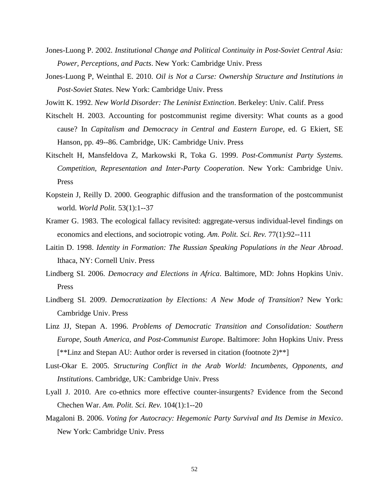- <span id="page-28-0"></span>Jones-Luong P. 2002. *Institutional Change and Political Continuity in Post-Soviet Central Asia: Power, Perceptions, and Pacts*. New York: Cambridge Univ. Press
- <span id="page-28-9"></span>Jones-Luong P, Weinthal E. 2010. *Oil is Not a Curse: Ownership Structure and Institutions in Post-Soviet States*. New York: Cambridge Univ. Press
- <span id="page-28-4"></span>Jowitt K. 1992. *New World Disorder: The Leninist Extinction*. Berkeley: Univ. Calif. Press
- <span id="page-28-3"></span>Kitschelt H. 2003. Accounting for postcommunist regime diversity: What counts as a good cause? In *Capitalism and Democracy in Central and Eastern Europe*, ed. G Ekiert, SE Hanson, pp. 49--86. Cambridge, UK: Cambridge Univ. Press
- Kitschelt H, Mansfeldova Z, Markowski R, Toka G. 1999. *Post-Communist Party Systems. Competition, Representation and Inter-Party Cooperation*. New York: Cambridge Univ. Press
- <span id="page-28-1"></span>Kopstein J, Reilly D. 2000. Geographic diffusion and the transformation of the postcommunist world. *World Polit.* 53(1):1--37
- <span id="page-28-2"></span>Kramer G. 1983. The ecological fallacy revisited: aggregate-versus individual-level findings on economics and elections, and sociotropic voting. *Am. Polit. Sci. Rev.* 77(1):92--111
- <span id="page-28-10"></span>Laitin D. 1998. *Identity in Formation: The Russian Speaking Populations in the Near Abroad*. Ithaca, NY: Cornell Univ. Press
- <span id="page-28-7"></span>Lindberg SI. 2006. *Democracy and Elections in Africa*. Baltimore, MD: Johns Hopkins Univ. Press
- <span id="page-28-8"></span>Lindberg SI. 2009. *Democratization by Elections: A New Mode of Transition*? New York: Cambridge Univ. Press
- Linz JJ, Stepan A. 1996. *Problems of Democratic Transition and Consolidation: Southern Europe, South America, and Post-Communist Europe*. Baltimore: John Hopkins Univ. Press [\*\*Linz and Stepan AU: Author order is reversed in citation (footnote 2)\*\*]
- <span id="page-28-5"></span>Lust-Okar E. 2005. *Structuring Conflict in the Arab World: Incumbents, Opponents, and Institutions*. Cambridge, UK: Cambridge Univ. Press
- <span id="page-28-11"></span>Lyall J. 2010. Are co-ethnics more effective counter-insurgents? Evidence from the Second Chechen War. *Am. Polit. Sci. Rev.* 104(1):1--20
- <span id="page-28-6"></span>Magaloni B. 2006. *Voting for Autocracy: Hegemonic Party Survival and Its Demise in Mexico*. New York: Cambridge Univ. Press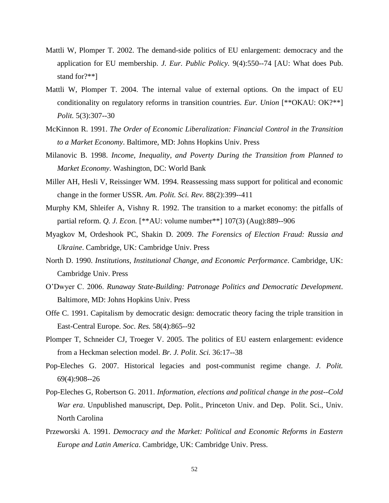- <span id="page-29-7"></span>Mattli W, Plomper T. 2002. The demand-side politics of EU enlargement: democracy and the application for EU membership. *J. Eur. Public Policy.* 9(4):550--74 [AU: What does Pub. stand for?\*\*]
- <span id="page-29-8"></span>Mattli W, Plomper T. 2004. The internal value of external options. On the impact of EU conditionality on regulatory reforms in transition countries. *Eur. Union* [\*\*OKAU: OK?\*\*] *Polit.* 5(3):307--30
- <span id="page-29-5"></span>McKinnon R. 1991. *The Order of Economic Liberalization: Financial Control in the Transition to a Market Economy*. Baltimore, MD: Johns Hopkins Univ. Press
- <span id="page-29-0"></span>Milanovic B. 1998. *Income, Inequality, and Poverty During the Transition from Planned to Market Economy*. Washington, DC: World Bank
- <span id="page-29-3"></span>Miller AH, Hesli V, Reissinger WM. 1994. Reassessing mass support for political and economic change in the former USSR. *Am. Polit. Sci. Rev.* 88(2):399--411
- <span id="page-29-6"></span>Murphy KM, Shleifer A, Vishny R. 1992. The transition to a market economy: the pitfalls of partial reform. *Q. J. Econ.* [\*\*AU: volume number\*\*] 107(3) (Aug):889--906
- <span id="page-29-12"></span>Myagkov M, Ordeshook PC, Shakin D. 2009. *The Forensics of Election Fraud: Russia and Ukraine*. Cambridge, UK: Cambridge Univ. Press
- <span id="page-29-2"></span>North D. 1990. *Institutions, Institutional Change, and Economic Performance*. Cambridge, UK: Cambridge Univ. Press
- <span id="page-29-13"></span>O"Dwyer C. 2006. *Runaway State-Building: Patronage Politics and Democratic Development*. Baltimore, MD: Johns Hopkins Univ. Press
- <span id="page-29-1"></span>Offe C. 1991. Capitalism by democratic design: democratic theory facing the triple transition in East-Central Europe. *Soc. Res.* 58(4):865--92
- <span id="page-29-9"></span>Plomper T, Schneider CJ, Troeger V. 2005. The politics of EU eastern enlargement: evidence from a Heckman selection model. *Br. J. Polit. Sci.* 36:17--38
- <span id="page-29-10"></span>Pop-Eleches G. 2007. Historical legacies and post-communist regime change. *J. Polit.* 69(4):908--26
- <span id="page-29-11"></span>Pop-Eleches G, Robertson G. 2011. *Information, elections and political change in the post--Cold War era*. Unpublished manuscript, Dep. Polit., Princeton Univ. and Dep. Polit. Sci., Univ. North Carolina
- <span id="page-29-4"></span>Przeworski A. 1991. *Democracy and the Market: Political and Economic Reforms in Eastern Europe and Latin America*. Cambridge, UK: Cambridge Univ. Press.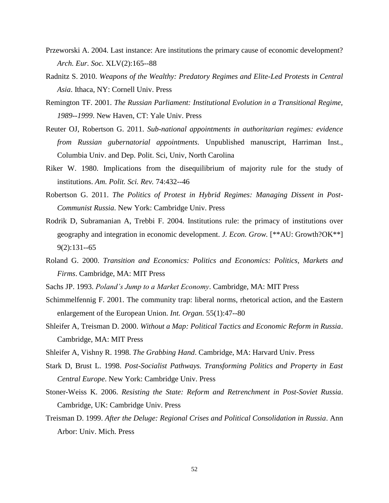- <span id="page-30-2"></span>Przeworski A. 2004. Last instance: Are institutions the primary cause of economic development? *Arch. Eur. Soc.* XLV(2):165--88
- <span id="page-30-8"></span>Radnitz S. 2010. *Weapons of the Wealthy: Predatory Regimes and Elite-Led Protests in Central Asia*. Ithaca, NY: Cornell Univ. Press
- <span id="page-30-11"></span>Remington TF. 2001. *The Russian Parliament: Institutional Evolution in a Transitional Regime, 1989--1999*. New Haven, CT: Yale Univ. Press
- <span id="page-30-9"></span>Reuter OJ, Robertson G. 2011. *Sub-national appointments in authoritarian regimes: evidence from Russian gubernatorial appointments*. Unpublished manuscript, Harriman Inst., Columbia Univ. and Dep. Polit. Sci, Univ, North Carolina
- <span id="page-30-1"></span>Riker W. 1980. Implications from the disequilibrium of majority rule for the study of institutions. *Am. Polit. Sci. Rev.* 74:432--46
- <span id="page-30-10"></span>Robertson G. 2011. *The Politics of Protest in Hybrid Regimes: Managing Dissent in Post-Communist Russia*. New York: Cambridge Univ. Press
- <span id="page-30-3"></span>Rodrik D, Subramanian A, Trebbi F. 2004. Institutions rule: the primacy of institutions over geography and integration in economic development. *J. Econ. Grow.* [\*\*AU: Growth?OK\*\*] 9(2):131--65
- <span id="page-30-5"></span>Roland G. 2000. *Transition and Economics: Politics and Economics: Politics, Markets and Firms*. Cambridge, MA: MIT Press
- <span id="page-30-13"></span>Sachs JP. 1993. *Poland's Jump to a Market Economy*. Cambridge, MA: MIT Press
- <span id="page-30-6"></span>Schimmelfennig F. 2001. The community trap: liberal norms, rhetorical action, and the Eastern enlargement of the European Union. *Int. Organ.* 55(1):47--80
- <span id="page-30-4"></span>Shleifer A, Treisman D. 2000. *Without a Map: Political Tactics and Economic Reform in Russia*. Cambridge, MA: MIT Press
- <span id="page-30-12"></span>Shleifer A, Vishny R. 1998. *The Grabbing Hand*. Cambridge, MA: Harvard Univ. Press
- <span id="page-30-0"></span>Stark D, Brust L. 1998. *Post-Socialist Pathways. Transforming Politics and Property in East Central Europe*. New York: Cambridge Univ. Press
- <span id="page-30-7"></span>Stoner-Weiss K. 2006. *Resisting the State: Reform and Retrenchment in Post-Soviet Russia*. Cambridge, UK: Cambridge Univ. Press
- Treisman D. 1999. *After the Deluge: Regional Crises and Political Consolidation in Russia*. Ann Arbor: Univ. Mich. Press